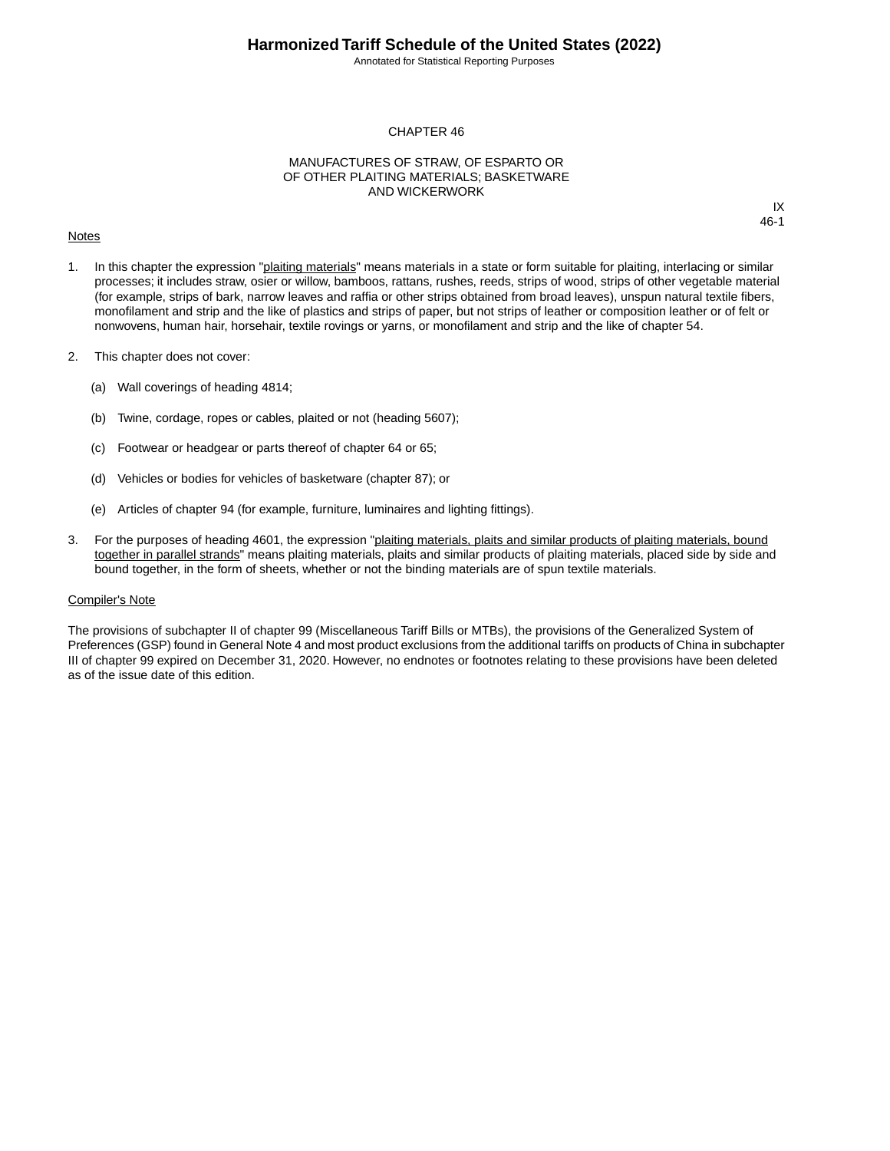Annotated for Statistical Reporting Purposes

IX 46-1

#### CHAPTER 46

#### MANUFACTURES OF STRAW, OF ESPARTO OR OF OTHER PLAITING MATERIALS; BASKETWARE AND WICKERWORK

#### **Notes**

1. In this chapter the expression "plaiting materials" means materials in a state or form suitable for plaiting, interlacing or similar processes; it includes straw, osier or willow, bamboos, rattans, rushes, reeds, strips of wood, strips of other vegetable material (for example, strips of bark, narrow leaves and raffia or other strips obtained from broad leaves), unspun natural textile fibers, monofilament and strip and the like of plastics and strips of paper, but not strips of leather or composition leather or of felt or nonwovens, human hair, horsehair, textile rovings or yarns, or monofilament and strip and the like of chapter 54.

- 2. This chapter does not cover:
	- (a) Wall coverings of heading 4814;
	- (b) Twine, cordage, ropes or cables, plaited or not (heading 5607);
	- (c) Footwear or headgear or parts thereof of chapter 64 or 65;
	- (d) Vehicles or bodies for vehicles of basketware (chapter 87); or
	- (e) Articles of chapter 94 (for example, furniture, luminaires and lighting fittings).
- 3. For the purposes of heading 4601, the expression "plaiting materials, plaits and similar products of plaiting materials, bound together in parallel strands" means plaiting materials, plaits and similar products of plaiting materials, placed side by side and bound together, in the form of sheets, whether or not the binding materials are of spun textile materials.

#### Compiler's Note

The provisions of subchapter II of chapter 99 (Miscellaneous Tariff Bills or MTBs), the provisions of the Generalized System of Preferences (GSP) found in General Note 4 and most product exclusions from the additional tariffs on products of China in subchapter III of chapter 99 expired on December 31, 2020. However, no endnotes or footnotes relating to these provisions have been deleted as of the issue date of this edition.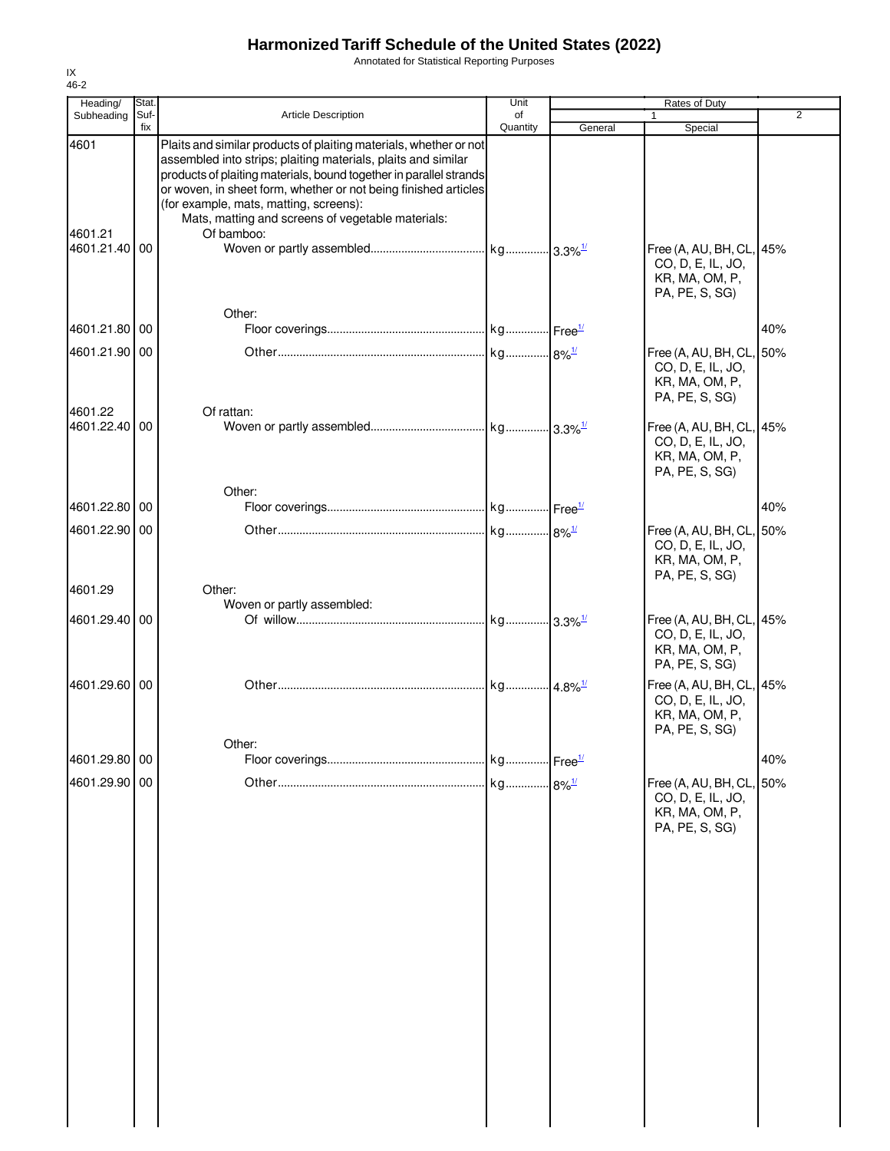Annotated for Statistical Reporting Purposes

| Heading/                 | Stat.       |                                                                                                                                                                                                                                                                                                                                                                                          | Unit           |         | Rates of Duty                                                                     |                |
|--------------------------|-------------|------------------------------------------------------------------------------------------------------------------------------------------------------------------------------------------------------------------------------------------------------------------------------------------------------------------------------------------------------------------------------------------|----------------|---------|-----------------------------------------------------------------------------------|----------------|
| Subheading               | Suf-<br>fix | <b>Article Description</b>                                                                                                                                                                                                                                                                                                                                                               | οf<br>Quantity | General | 1<br>Special                                                                      | $\overline{2}$ |
| 4601<br>4601.21          |             | Plaits and similar products of plaiting materials, whether or not<br>assembled into strips; plaiting materials, plaits and similar<br>products of plaiting materials, bound together in parallel strands<br>or woven, in sheet form, whether or not being finished articles<br>(for example, mats, matting, screens):<br>Mats, matting and screens of vegetable materials:<br>Of bamboo: |                |         |                                                                                   |                |
| 4601.21.40 00            |             |                                                                                                                                                                                                                                                                                                                                                                                          |                |         | Free (A, AU, BH, CL, 45%<br>CO, D, E, IL, JO,<br>KR, MA, OM, P,<br>PA, PE, S, SG) |                |
| 4601.21.80 00            |             | Other:                                                                                                                                                                                                                                                                                                                                                                                   |                |         |                                                                                   | 40%            |
| 4601.21.90 00            |             |                                                                                                                                                                                                                                                                                                                                                                                          |                |         | Free (A, AU, BH, CL, 50%<br>CO, D, E, IL, JO,<br>KR, MA, OM, P,<br>PA, PE, S, SG) |                |
| 4601.22<br>4601.22.40 00 |             | Of rattan:                                                                                                                                                                                                                                                                                                                                                                               |                |         | Free (A, AU, BH, CL, 45%<br>CO, D, E, IL, JO,<br>KR, MA, OM, P,<br>PA, PE, S, SG) |                |
| 4601.22.80 00            |             | Other:                                                                                                                                                                                                                                                                                                                                                                                   |                |         |                                                                                   | 40%            |
| 4601.22.90 00            |             |                                                                                                                                                                                                                                                                                                                                                                                          |                |         | Free (A, AU, BH, CL, 50%<br>CO, D, E, IL, JO,<br>KR, MA, OM, P,                   |                |
| 4601.29                  |             | Other:                                                                                                                                                                                                                                                                                                                                                                                   |                |         | PA, PE, S, SG)                                                                    |                |
| 4601.29.40 00            |             | Woven or partly assembled:                                                                                                                                                                                                                                                                                                                                                               |                |         | Free (A, AU, BH, CL, 45%<br>CO, D, E, IL, JO,<br>KR, MA, OM, P,<br>PA, PE, S, SG) |                |
| 4601.29.60 00            |             |                                                                                                                                                                                                                                                                                                                                                                                          |                |         | Free (A, AU, BH, CL, 45%<br>CO, D, E, IL, JO,<br>KR, MA, OM, P,<br>PA, PE, S, SG) |                |
| 4601.29.80 00            |             | Other:                                                                                                                                                                                                                                                                                                                                                                                   |                |         |                                                                                   | 40%            |
| 4601.29.90 00            |             |                                                                                                                                                                                                                                                                                                                                                                                          |                |         | Free (A, AU, BH, CL, 50%<br>CO, D, E, IL, JO,<br>KR, MA, OM, P,<br>PA, PE, S, SG) |                |
|                          |             |                                                                                                                                                                                                                                                                                                                                                                                          |                |         |                                                                                   |                |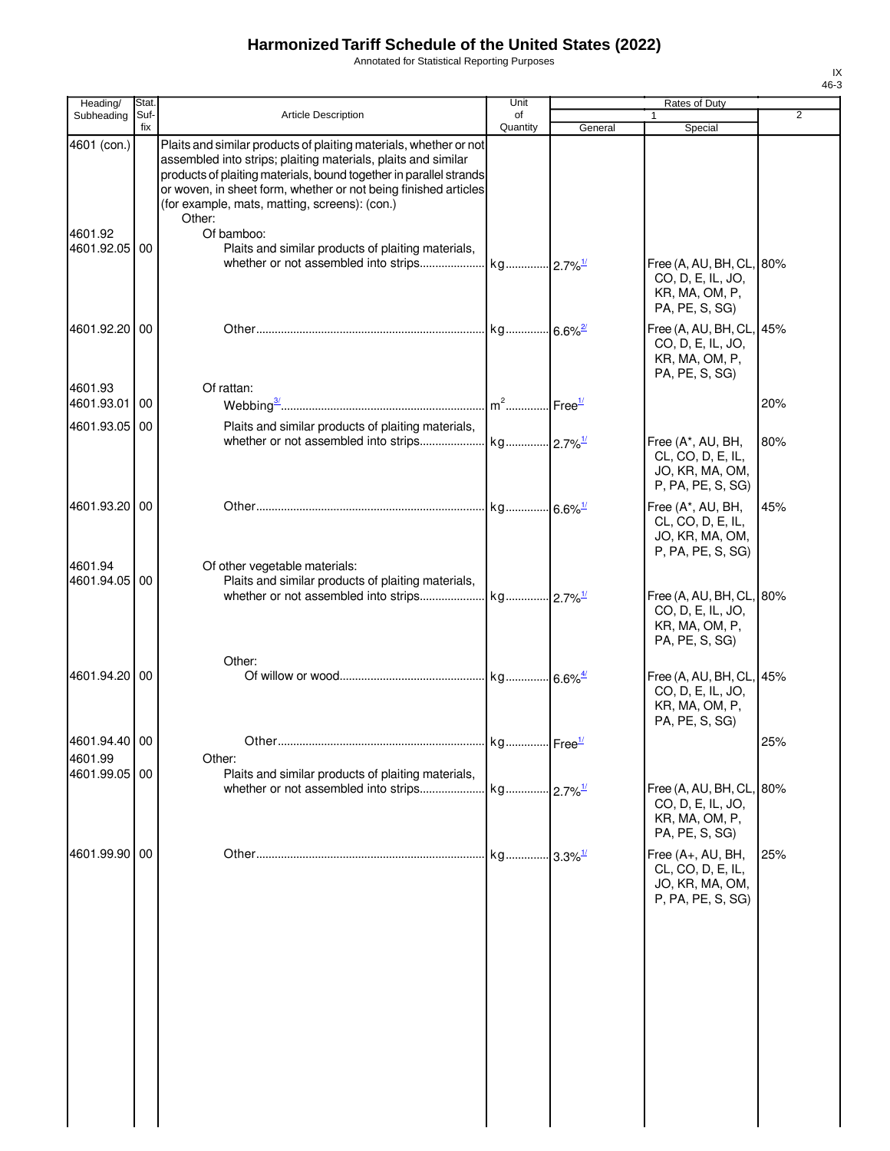Annotated for Statistical Reporting Purposes

|     | Rates of Duty                                                                     |         | Unit                  |                                                                                                                                                                                                                                                                                                                                        | Stat.<br>Heading/         |         |
|-----|-----------------------------------------------------------------------------------|---------|-----------------------|----------------------------------------------------------------------------------------------------------------------------------------------------------------------------------------------------------------------------------------------------------------------------------------------------------------------------------------|---------------------------|---------|
| 2   | $\mathbf{1}$<br>Special                                                           | General | of<br>Quantity        | <b>Article Description</b>                                                                                                                                                                                                                                                                                                             | Suf-<br>Subheading<br>fix |         |
|     |                                                                                   |         |                       | Plaits and similar products of plaiting materials, whether or not<br>assembled into strips; plaiting materials, plaits and similar<br>products of plaiting materials, bound together in parallel strands<br>or woven, in sheet form, whether or not being finished articles<br>(for example, mats, matting, screens): (con.)<br>Other: | 4601 (con.)               |         |
|     | Free (A, AU, BH, CL, 80%<br>CO, D, E, IL, JO,<br>KR, MA, OM, P,<br>PA, PE, S, SG) |         |                       | Of bamboo:<br>Plaits and similar products of plaiting materials,                                                                                                                                                                                                                                                                       | 4601.92.05<br>00          | 4601.92 |
|     | Free (A, AU, BH, CL, 45%<br>CO, D, E, IL, JO,<br>KR, MA, OM, P,<br>PA, PE, S, SG) |         |                       |                                                                                                                                                                                                                                                                                                                                        | 4601.92.20<br>00          |         |
| 20% |                                                                                   |         |                       | Of rattan:                                                                                                                                                                                                                                                                                                                             | 4601.93.01<br>00          | 4601.93 |
|     |                                                                                   |         |                       | Plaits and similar products of plaiting materials,                                                                                                                                                                                                                                                                                     | 4601.93.05<br>00          |         |
| 80% | Free (A*, AU, BH,<br>CL, CO, D, E, IL,<br>JO, KR, MA, OM,<br>P, PA, PE, S, SG)    |         |                       |                                                                                                                                                                                                                                                                                                                                        |                           |         |
| 45% | Free (A*, AU, BH,<br>CL, CO, D, E, IL,<br>JO, KR, MA, OM,<br>P, PA, PE, S, SG)    |         | kg 6.6% <sup>1/</sup> |                                                                                                                                                                                                                                                                                                                                        | 4601.93.20 00             |         |
|     | Free (A, AU, BH, CL, 80%<br>CO, D, E, IL, JO,<br>KR, MA, OM, P,<br>PA, PE, S, SG) |         |                       | Of other vegetable materials:<br>Plaits and similar products of plaiting materials,                                                                                                                                                                                                                                                    | 4601.94.05<br>00          | 4601.94 |
|     | Free (A, AU, BH, CL, 45%<br>CO, D, E, IL, JO,<br>KR, MA, OM, P,<br>PA, PE, S, SG) |         |                       | Other:                                                                                                                                                                                                                                                                                                                                 | 4601.94.20 00             |         |
| 25% |                                                                                   |         | kg Free <sup>1/</sup> | Other                                                                                                                                                                                                                                                                                                                                  | 4601.94.40 00             |         |
|     |                                                                                   |         |                       | Other:                                                                                                                                                                                                                                                                                                                                 |                           | 4601.99 |
|     | Free (A, AU, BH, CL, 80%<br>CO, D, E, IL, JO,<br>KR, MA, OM, P,<br>PA, PE, S, SG) |         |                       | Plaits and similar products of plaiting materials,                                                                                                                                                                                                                                                                                     | 4601.99.05<br>00          |         |
| 25% | Free (A+, AU, BH,<br>CL, CO, D, E, IL,<br>JO, KR, MA, OM,<br>P, PA, PE, S, SG)    |         |                       |                                                                                                                                                                                                                                                                                                                                        | 4601.99.90<br>00          |         |
|     |                                                                                   |         |                       |                                                                                                                                                                                                                                                                                                                                        |                           |         |
|     |                                                                                   |         |                       |                                                                                                                                                                                                                                                                                                                                        |                           |         |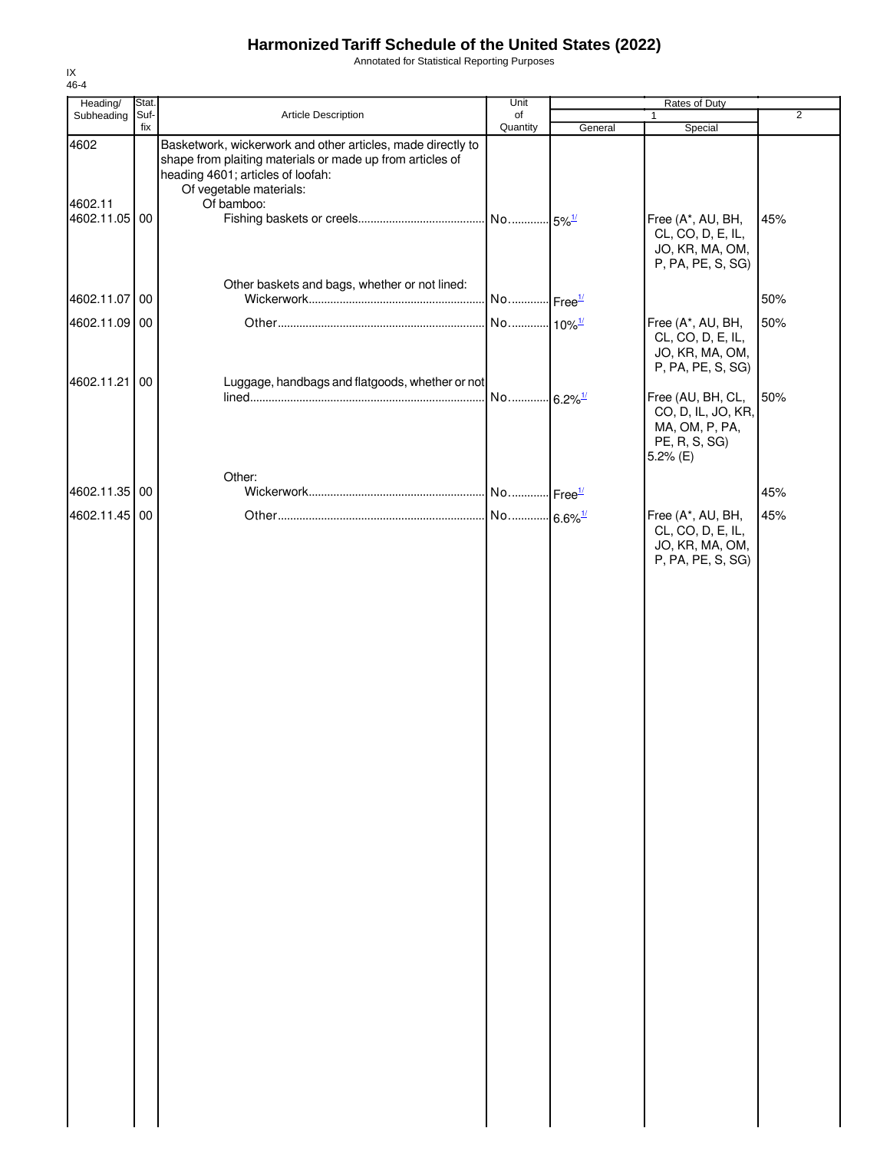Annotated for Statistical Reporting Purposes

| Heading/                 | Stat. |                                                                                                                                                                                          | Unit                  |         | Rates of Duty                                                                                               |                |
|--------------------------|-------|------------------------------------------------------------------------------------------------------------------------------------------------------------------------------------------|-----------------------|---------|-------------------------------------------------------------------------------------------------------------|----------------|
| Subheading               | Suf-  | Article Description                                                                                                                                                                      | of                    |         | 1                                                                                                           | $\overline{2}$ |
| 4602                     | fix   | Basketwork, wickerwork and other articles, made directly to<br>shape from plaiting materials or made up from articles of<br>heading 4601; articles of loofah:<br>Of vegetable materials: | Quantity              | General | Special                                                                                                     |                |
| 4602.11<br>4602.11.05 00 |       | Of bamboo:                                                                                                                                                                               | No 5% <sup>1/</sup>   |         | Free (A*, AU, BH,<br>CL, CO, D, E, IL,<br>JO, KR, MA, OM,<br>P, PA, PE, S, SG)                              | 45%            |
| 4602.11.07 00            |       | Other baskets and bags, whether or not lined:                                                                                                                                            | No Free <sup>1/</sup> |         |                                                                                                             | 50%            |
| 4602.11.09 00            |       |                                                                                                                                                                                          | No 10% <sup>1/</sup>  |         | Free (A*, AU, BH,<br>CL, CO, D, E, IL,<br>JO, KR, MA, OM,                                                   | 50%            |
| 4602.11.21 00            |       | Luggage, handbags and flatgoods, whether or not                                                                                                                                          | No 6.2% <sup>1/</sup> |         | P, PA, PE, S, SG)<br>Free (AU, BH, CL,<br>CO, D, IL, JO, KR,<br>MA, OM, P, PA,<br>PE, R, S, SG)<br>5.2% (E) | 50%            |
| 4602.11.35 00            |       | Other:                                                                                                                                                                                   | No Free <sup>1/</sup> |         |                                                                                                             | 45%            |
| 4602.11.45 00            |       |                                                                                                                                                                                          | No 6.6% <sup>1/</sup> |         | Free (A*, AU, BH,<br>CL, CO, D, E, IL,<br>JO, KR, MA, OM,<br>P, PA, PE, S, SG)                              | 45%            |
|                          |       |                                                                                                                                                                                          |                       |         |                                                                                                             |                |
|                          |       |                                                                                                                                                                                          |                       |         |                                                                                                             |                |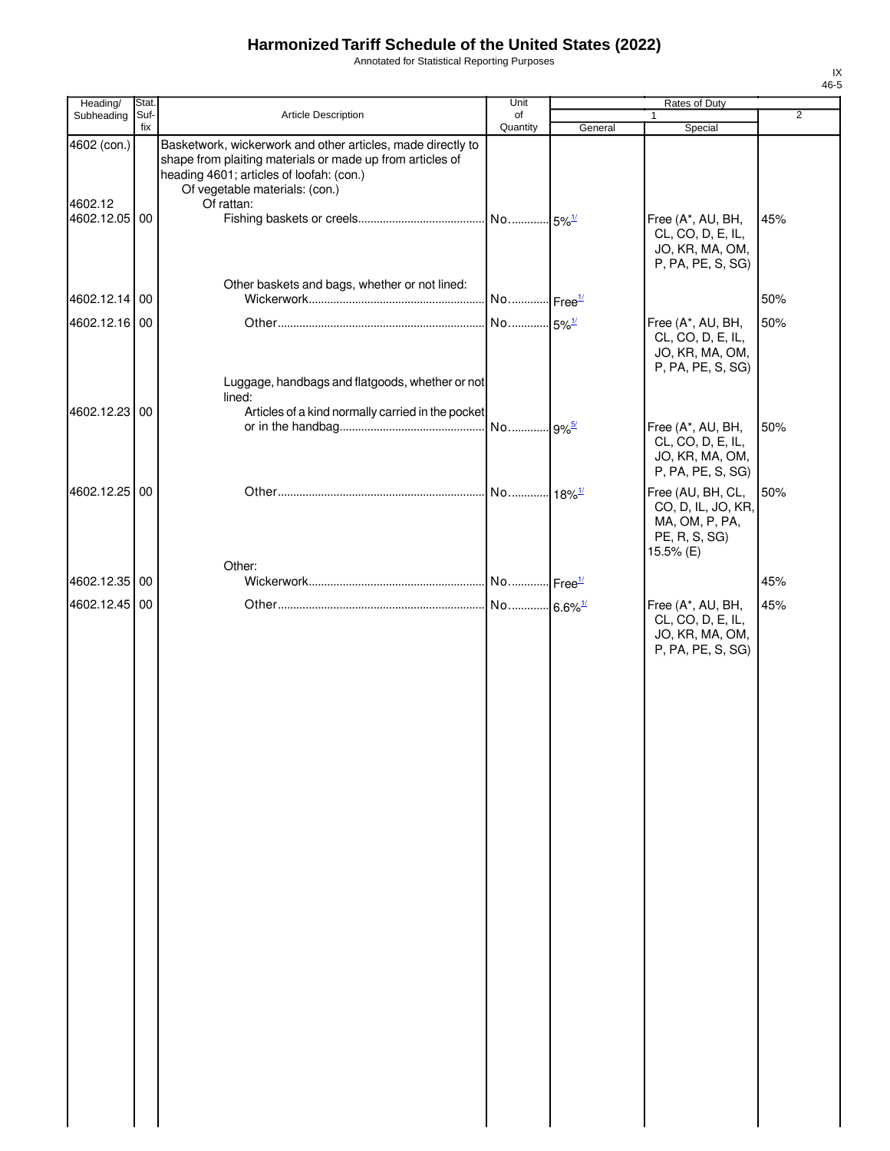Annotated for Statistical Reporting Purposes

| Heading/                                | Stat.       |                                                                                                                                                                                                                      | Unit                  |         | Rates of Duty                                                                           |                |
|-----------------------------------------|-------------|----------------------------------------------------------------------------------------------------------------------------------------------------------------------------------------------------------------------|-----------------------|---------|-----------------------------------------------------------------------------------------|----------------|
| Subheading                              | Suf-<br>fix | Article Description                                                                                                                                                                                                  | of<br>Quantity        | General | Special                                                                                 | $\overline{2}$ |
| 4602 (con.)<br>4602.12<br>4602.12.05 00 |             | Basketwork, wickerwork and other articles, made directly to<br>shape from plaiting materials or made up from articles of<br>heading 4601; articles of loofah: (con.)<br>Of vegetable materials: (con.)<br>Of rattan: |                       |         | Free (A*, AU, BH,<br>CL, CO, D, E, IL,<br>JO, KR, MA, OM,                               | 45%            |
| 4602.12.14 00                           |             | Other baskets and bags, whether or not lined:                                                                                                                                                                        | No Free <sup>1/</sup> |         | P, PA, PE, S, SG)                                                                       | 50%            |
| 4602.12.16 00                           |             | Luggage, handbags and flatgoods, whether or not                                                                                                                                                                      | No 5% <sup>1/</sup>   |         | Free (A*, AU, BH,<br>CL, CO, D, E, IL,<br>JO, KR, MA, OM,<br>P, PA, PE, S, SG)          | 50%            |
|                                         |             | lined:                                                                                                                                                                                                               |                       |         |                                                                                         |                |
| 4602.12.23 00                           |             | Articles of a kind normally carried in the pocket                                                                                                                                                                    |                       |         | Free (A*, AU, BH,<br>CL, CO, D, E, IL,<br>JO, KR, MA, OM,<br>P, PA, PE, S, SG)          | 50%            |
| 4602.12.25 00                           |             |                                                                                                                                                                                                                      | No 18% <sup>1/</sup>  |         | Free (AU, BH, CL,<br>CO, D, IL, JO, KR,<br>MA, OM, P, PA,<br>PE, R, S, SG)<br>15.5% (E) | 50%            |
| 4602.12.35 00                           |             | Other:                                                                                                                                                                                                               |                       |         |                                                                                         | 45%            |
|                                         |             |                                                                                                                                                                                                                      |                       |         |                                                                                         |                |
| 4602.12.45 00                           |             |                                                                                                                                                                                                                      | No 6.6% <sup>1/</sup> |         | Free (A*, AU, BH,<br>CL, CO, D, E, IL,<br>JO, KR, MA, OM,<br>P, PA, PE, S, SG)          | 45%            |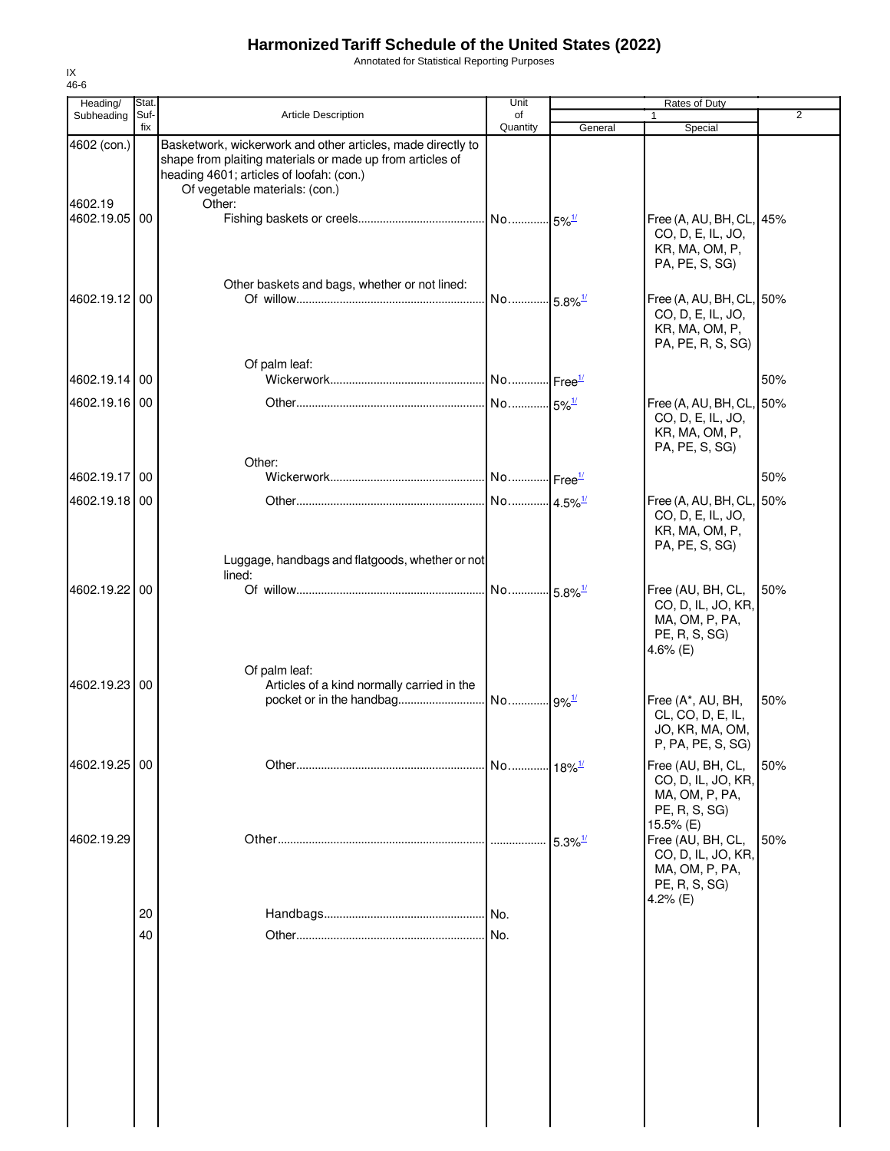Annotated for Statistical Reporting Purposes

| Heading/              | Stat.       |                                                                                                                                                                                                        | Unit                  |                       | Rates of Duty                                                                            |     |
|-----------------------|-------------|--------------------------------------------------------------------------------------------------------------------------------------------------------------------------------------------------------|-----------------------|-----------------------|------------------------------------------------------------------------------------------|-----|
| Subheading            | Suf-<br>fix | <b>Article Description</b>                                                                                                                                                                             | of<br>Quantity        | General               | Special                                                                                  | 2   |
| 4602 (con.)           |             | Basketwork, wickerwork and other articles, made directly to<br>shape from plaiting materials or made up from articles of<br>heading 4601; articles of loofah: (con.)<br>Of vegetable materials: (con.) |                       |                       |                                                                                          |     |
| 4602.19<br>4602.19.05 | 00          | Other:                                                                                                                                                                                                 |                       |                       | Free (A, AU, BH, CL, 45%<br>CO, D, E, IL, JO,<br>KR, MA, OM, P,<br>PA, PE, S, SG)        |     |
| 4602.19.12 00         |             | Other baskets and bags, whether or not lined:                                                                                                                                                          | No 5.8% <sup>1/</sup> |                       | Free (A, AU, BH, CL, 50%<br>CO, D, E, IL, JO,<br>KR, MA, OM, P,<br>PA, PE, R, S, SG)     |     |
| 4602.19.14 00         |             | Of palm leaf:                                                                                                                                                                                          |                       |                       |                                                                                          | 50% |
| 4602.19.16 00         |             | Other:                                                                                                                                                                                                 |                       |                       | Free (A, AU, BH, CL, 50%<br>CO, D, E, IL, JO,<br>KR, MA, OM, P,<br>PA, PE, S, SG)        |     |
| 4602.19.17            | 00          |                                                                                                                                                                                                        |                       |                       |                                                                                          | 50% |
| 4602.19.18 00         |             |                                                                                                                                                                                                        | No 4.5% <sup>1/</sup> |                       | Free (A, AU, BH, CL, 50%<br>CO, D, E, IL, JO,<br>KR, MA, OM, P,<br>PA, PE, S, SG)        |     |
| 4602.19.22 00         |             | Luggage, handbags and flatgoods, whether or not<br>lined:                                                                                                                                              | No 5.8% <sup>1/</sup> |                       | Free (AU, BH, CL,<br>CO, D, IL, JO, KR,<br>MA, OM, P, PA,<br>PE, R, S, SG)<br>4.6% $(E)$ | 50% |
| 4602.19.23            | 00          | Of palm leaf:<br>Articles of a kind normally carried in the                                                                                                                                            |                       |                       | Free (A*, AU, BH,<br>CL, CO, D, E, IL,<br>JO, KR, MA, OM,<br>P, PA, PE, S, SG)           | 50% |
| 4602.19.25 00         |             |                                                                                                                                                                                                        | No 18% <sup>1/</sup>  |                       | Free (AU, BH, CL,<br>CO, D, IL, JO, KR,<br>MA, OM, P, PA,<br>PE, R, S, SG)<br>15.5% (E)  | 50% |
| 4602.19.29            |             |                                                                                                                                                                                                        |                       | $5.3\%$ <sup>1/</sup> | Free (AU, BH, CL,<br>CO, D, IL, JO, KR,<br>MA, OM, P, PA,<br>PE, R, S, SG)<br>4.2% $(E)$ | 50% |
|                       | 20          |                                                                                                                                                                                                        |                       |                       |                                                                                          |     |
|                       | 40          |                                                                                                                                                                                                        | No.                   |                       |                                                                                          |     |
|                       |             |                                                                                                                                                                                                        |                       |                       |                                                                                          |     |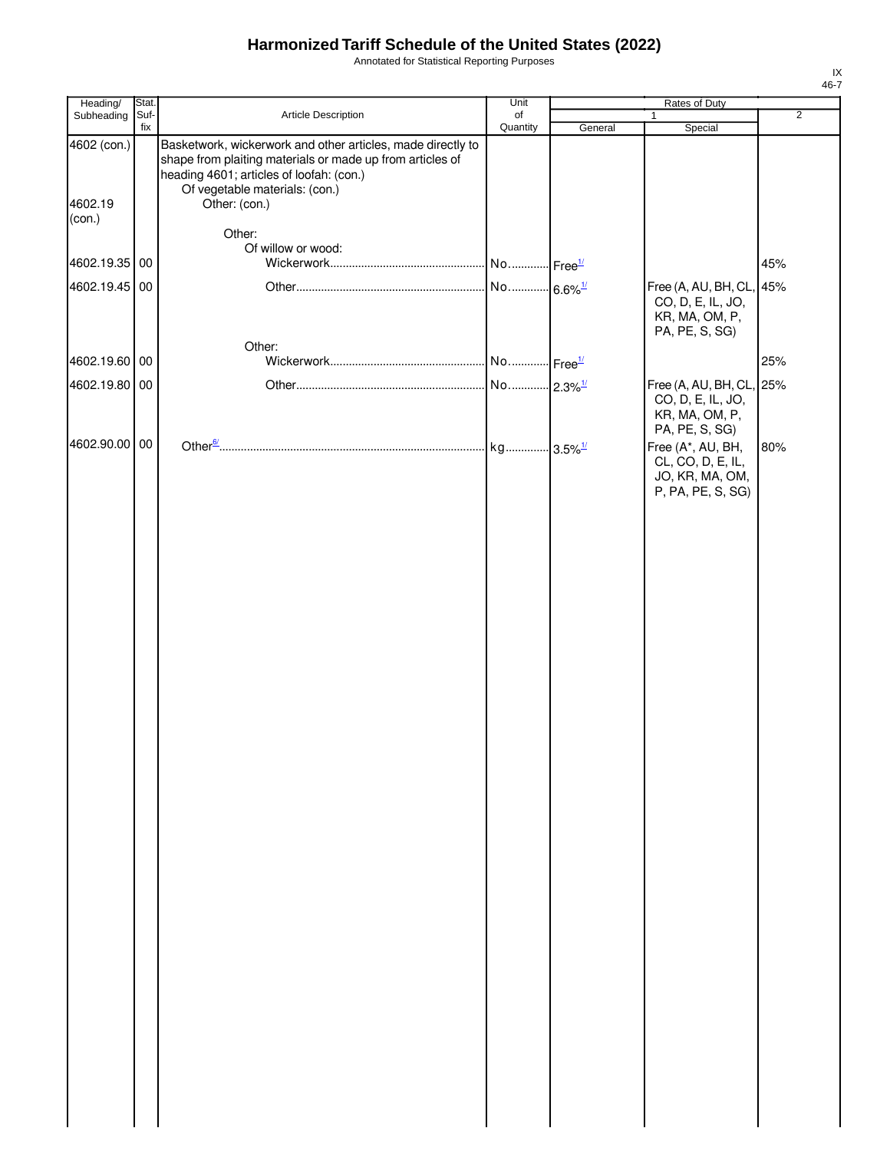Annotated for Statistical Reporting Purposes

| Heading/                         | Stat.       |                                                                                                                                                                                                                         | Unit           |         | Rates of Duty                                                                     |                |
|----------------------------------|-------------|-------------------------------------------------------------------------------------------------------------------------------------------------------------------------------------------------------------------------|----------------|---------|-----------------------------------------------------------------------------------|----------------|
| Subheading                       | Suf-<br>fix | Article Description                                                                                                                                                                                                     | of<br>Quantity | General | 1<br>Special                                                                      | $\overline{2}$ |
| 4602 (con.)<br>4602.19<br>(con.) |             | Basketwork, wickerwork and other articles, made directly to<br>shape from plaiting materials or made up from articles of<br>heading 4601; articles of loofah: (con.)<br>Of vegetable materials: (con.)<br>Other: (con.) |                |         |                                                                                   |                |
|                                  |             | Other:                                                                                                                                                                                                                  |                |         |                                                                                   |                |
|                                  |             | Of willow or wood:                                                                                                                                                                                                      |                |         |                                                                                   |                |
| 4602.19.35 00                    |             |                                                                                                                                                                                                                         |                |         |                                                                                   | 45%            |
| 4602.19.45 00                    |             |                                                                                                                                                                                                                         |                |         | Free (A, AU, BH, CL, 45%<br>CO, D, E, IL, JO,<br>KR, MA, OM, P,<br>PA, PE, S, SG) |                |
|                                  |             | Other:                                                                                                                                                                                                                  |                |         |                                                                                   |                |
| 4602.19.60 00                    |             |                                                                                                                                                                                                                         |                |         |                                                                                   | 25%            |
| 4602.19.80 00                    |             |                                                                                                                                                                                                                         |                |         | Free (A, AU, BH, CL, 25%<br>CO, D, E, IL, JO,<br>KR, MA, OM, P,<br>PA, PE, S, SG) |                |
| 4602.90.00 00                    |             |                                                                                                                                                                                                                         |                |         | Free (A*, AU, BH,<br>CL, CO, D, E, IL,<br>JO, KR, MA, OM,<br>P, PA, PE, S, SG)    | 80%            |
|                                  |             |                                                                                                                                                                                                                         |                |         |                                                                                   |                |
|                                  |             |                                                                                                                                                                                                                         |                |         |                                                                                   |                |
|                                  |             |                                                                                                                                                                                                                         |                |         |                                                                                   |                |
|                                  |             |                                                                                                                                                                                                                         |                |         |                                                                                   |                |
|                                  |             |                                                                                                                                                                                                                         |                |         |                                                                                   |                |
|                                  |             |                                                                                                                                                                                                                         |                |         |                                                                                   |                |
|                                  |             |                                                                                                                                                                                                                         |                |         |                                                                                   |                |
|                                  |             |                                                                                                                                                                                                                         |                |         |                                                                                   |                |
|                                  |             |                                                                                                                                                                                                                         |                |         |                                                                                   |                |
|                                  |             |                                                                                                                                                                                                                         |                |         |                                                                                   |                |